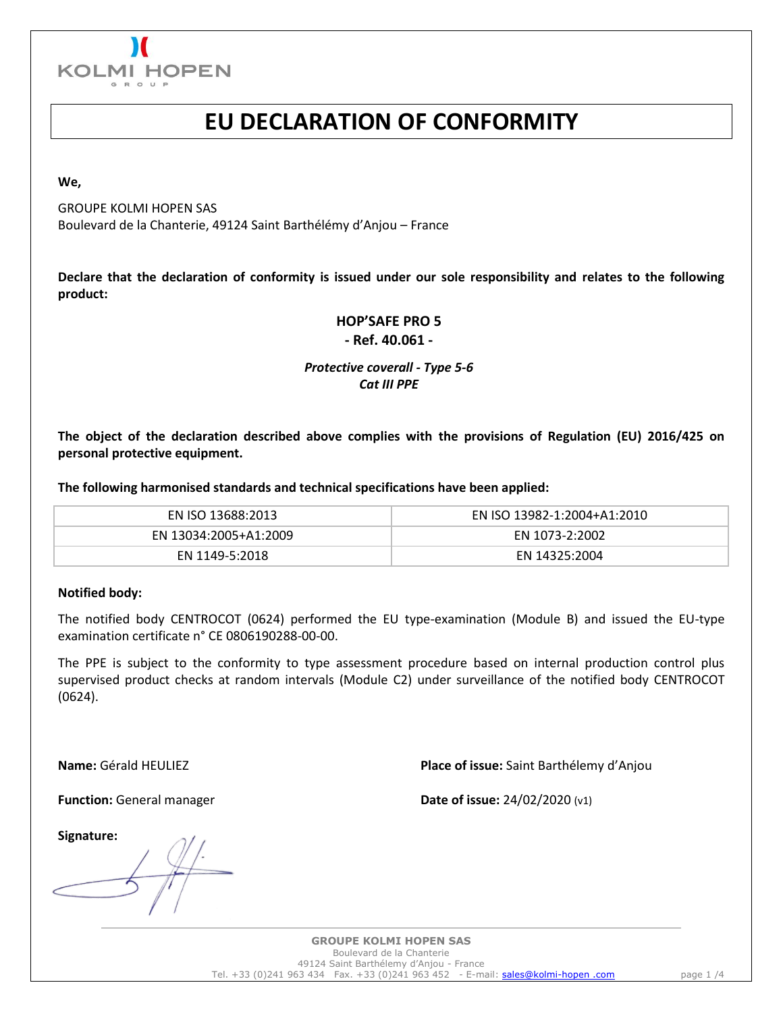

## **EU DECLARATION OF CONFORMITY**

**We,**

GROUPE KOLMI HOPEN SAS Boulevard de la Chanterie, 49124 Saint Barthélémy d'Anjou – France

**Declare that the declaration of conformity is issued under our sole responsibility and relates to the following product:**

### **HOP'SAFE PRO 5 - Ref. 40.061 -**

### *Protective coverall - Type 5-6 Cat III PPE*

**The object of the declaration described above complies with the provisions of Regulation (EU) 2016/425 on personal protective equipment.**

**The following harmonised standards and technical specifications have been applied:**

| EN ISO 13688:2013     | EN ISO 13982-1:2004+A1:2010 |
|-----------------------|-----------------------------|
| EN 13034:2005+A1:2009 | EN 1073-2:2002              |
| EN 1149-5:2018        | EN 14325:2004               |

### **Notified body:**

The notified body CENTROCOT (0624) performed the EU type-examination (Module B) and issued the EU-type examination certificate n° CE 0806190288-00-00.

The PPE is subject to the conformity to type assessment procedure based on internal production control plus supervised product checks at random intervals (Module C2) under surveillance of the notified body CENTROCOT (0624).

**Name:** Gérald HEULIEZ **Place of issue:** Saint Barthélemy d'Anjou

**Function:** General manager **Date of issue:** 24/02/2020 (v1)

**Signature:**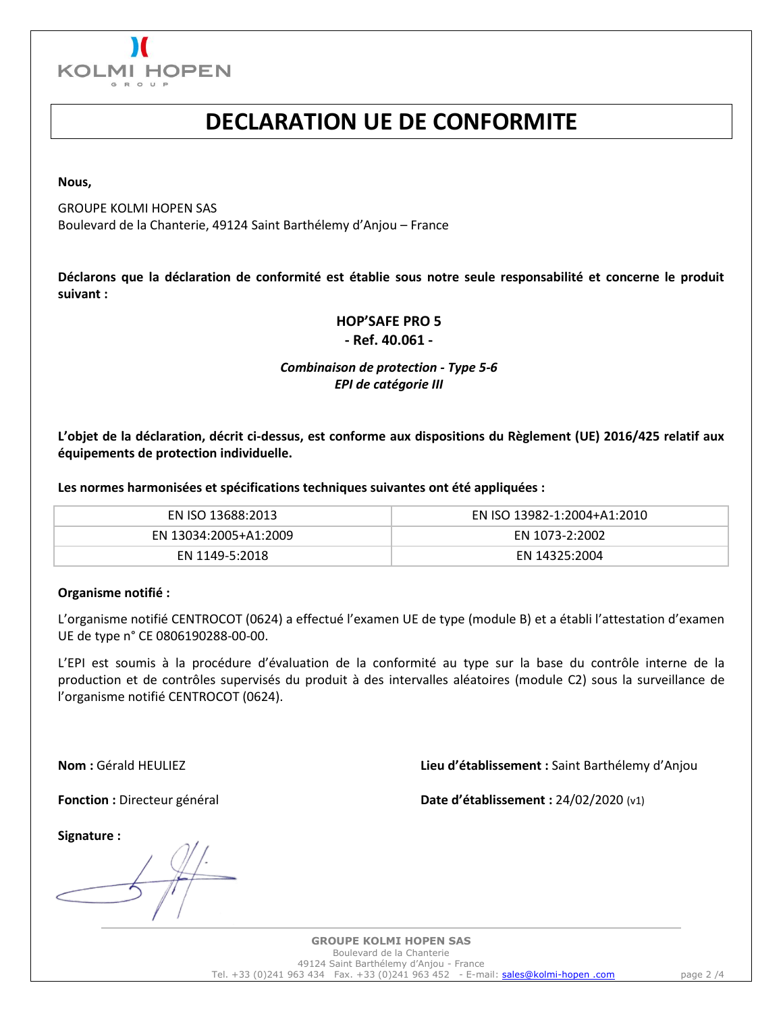

### **DECLARATION UE DE CONFORMITE**

**Nous,**

GROUPE KOLMI HOPEN SAS Boulevard de la Chanterie, 49124 Saint Barthélemy d'Anjou – France

**Déclarons que la déclaration de conformité est établie sous notre seule responsabilité et concerne le produit suivant :**

### **HOP'SAFE PRO 5**

**- Ref. 40.061 -**

### *Combinaison de protection - Type 5-6 EPI de catégorie III*

**L'objet de la déclaration, décrit ci-dessus, est conforme aux dispositions du Règlement (UE) 2016/425 relatif aux équipements de protection individuelle.**

**Les normes harmonisées et spécifications techniques suivantes ont été appliquées :**

| EN ISO 13688:2013     | EN ISO 13982-1:2004+A1:2010 |
|-----------------------|-----------------------------|
| EN 13034:2005+A1:2009 | EN 1073-2:2002              |
| EN 1149-5:2018        | EN 14325:2004               |

### **Organisme notifié :**

L'organisme notifié CENTROCOT (0624) a effectué l'examen UE de type (module B) et a établi l'attestation d'examen UE de type n° CE 0806190288-00-00.

L'EPI est soumis à la procédure d'évaluation de la conformité au type sur la base du contrôle interne de la production et de contrôles supervisés du produit à des intervalles aléatoires (module C2) sous la surveillance de l'organisme notifié CENTROCOT (0624).

**Nom :** Gérald HEULIEZ **Lieu d'établissement :** Saint Barthélemy d'Anjou

**Fonction :** Directeur général **Date d'établissement :** 24/02/2020 (v1)

**Signature :**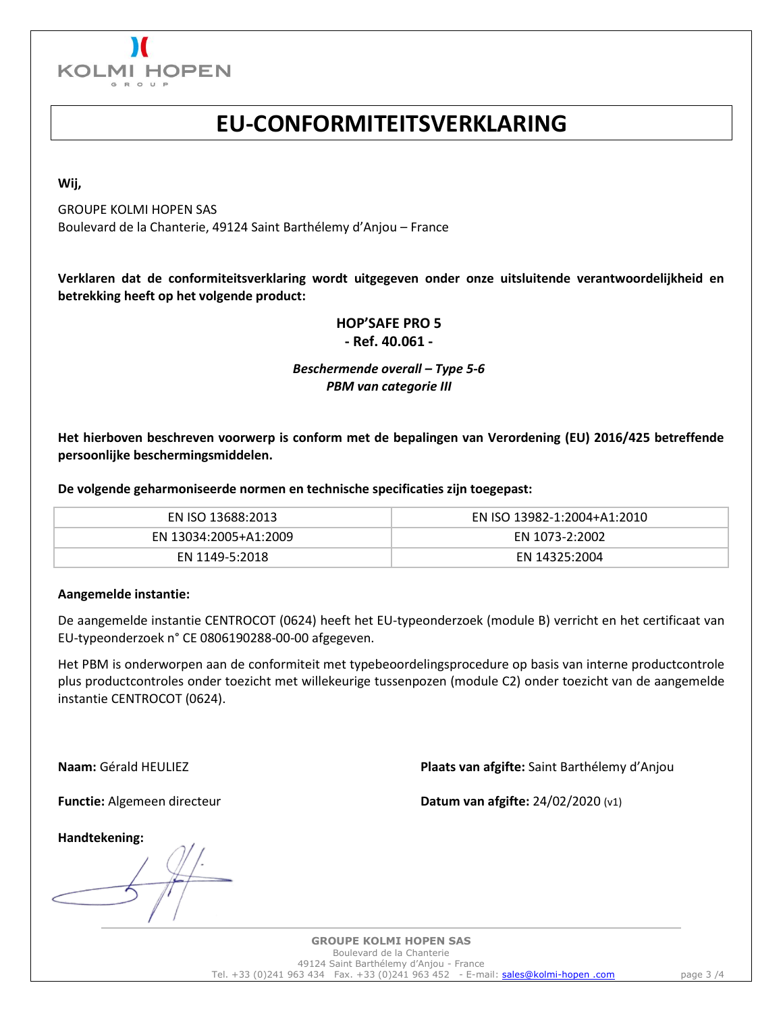

### **EU-CONFORMITEITSVERKLARING**

**Wij,**

GROUPE KOLMI HOPEN SAS Boulevard de la Chanterie, 49124 Saint Barthélemy d'Anjou – France

**Verklaren dat de conformiteitsverklaring wordt uitgegeven onder onze uitsluitende verantwoordelijkheid en betrekking heeft op het volgende product:**

### **HOP'SAFE PRO 5**

**- Ref. 40.061 -**

### *Beschermende overall – Type 5-6 PBM van categorie III*

**Het hierboven beschreven voorwerp is conform met de bepalingen van Verordening (EU) 2016/425 betreffende persoonlijke beschermingsmiddelen.**

**De volgende geharmoniseerde normen en technische specificaties zijn toegepast:**

| EN ISO 13688:2013     | EN ISO 13982-1:2004+A1:2010 |
|-----------------------|-----------------------------|
| EN 13034:2005+A1:2009 | EN 1073-2:2002              |
| EN 1149-5:2018        | EN 14325:2004               |

### **Aangemelde instantie:**

De aangemelde instantie CENTROCOT (0624) heeft het EU-typeonderzoek (module B) verricht en het certificaat van EU-typeonderzoek n° CE 0806190288-00-00 afgegeven.

Het PBM is onderworpen aan de conformiteit met typebeoordelingsprocedure op basis van interne productcontrole plus productcontroles onder toezicht met willekeurige tussenpozen (module C2) onder toezicht van de aangemelde instantie CENTROCOT (0624).

**Naam:** Gérald HEULIEZ **Plaats van afgifte:** Saint Barthélemy d'Anjou

**Functie:** Algemeen directeur **Datum van afgifte:** 24/02/2020 (v1)

**Handtekening:**